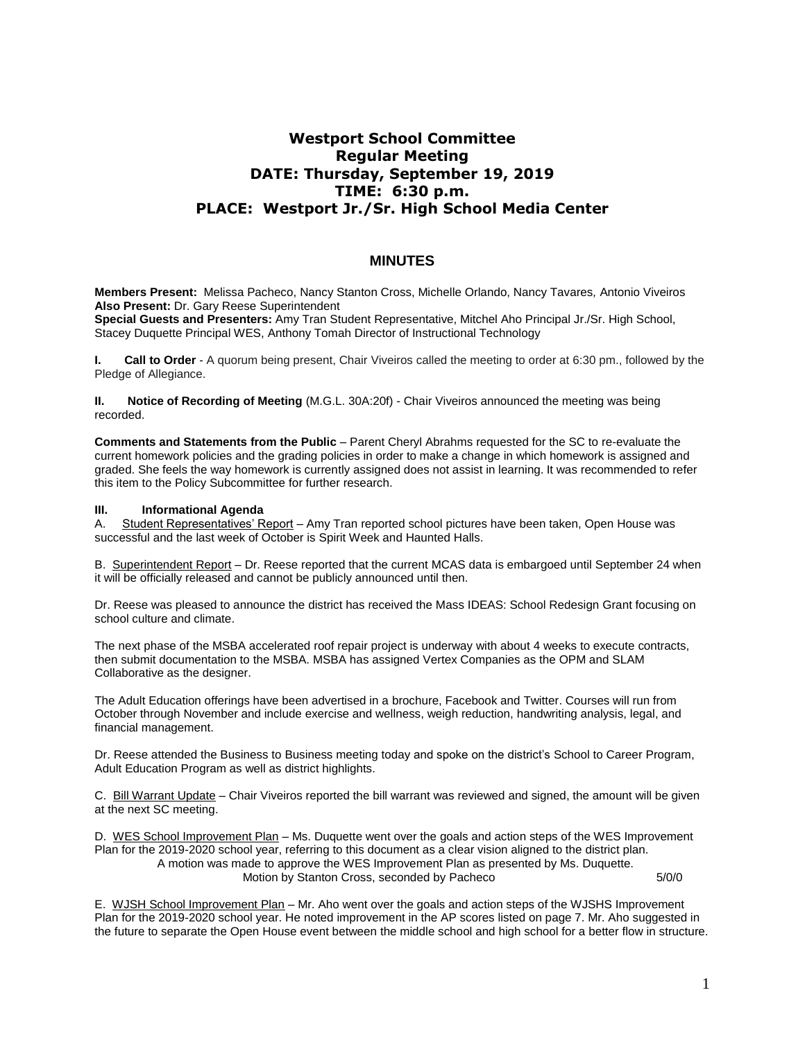# **Westport School Committee Regular Meeting DATE: Thursday, September 19, 2019 TIME: 6:30 p.m. PLACE: Westport Jr./Sr. High School Media Center**

## **MINUTES**

**Members Present:** Melissa Pacheco, Nancy Stanton Cross, Michelle Orlando, Nancy Tavares*,* Antonio Viveiros **Also Present:** Dr. Gary Reese Superintendent

**Special Guests and Presenters:** Amy Tran Student Representative, Mitchel Aho Principal Jr./Sr. High School, Stacey Duquette Principal WES, Anthony Tomah Director of Instructional Technology

**I. Call to Order** - A quorum being present, Chair Viveiros called the meeting to order at 6:30 pm., followed by the Pledge of Allegiance.

**II. Notice of Recording of Meeting** (M.G.L. 30A:20f) - Chair Viveiros announced the meeting was being recorded.

**Comments and Statements from the Public** – Parent Cheryl Abrahms requested for the SC to re-evaluate the current homework policies and the grading policies in order to make a change in which homework is assigned and graded. She feels the way homework is currently assigned does not assist in learning. It was recommended to refer this item to the Policy Subcommittee for further research.

## **III. Informational Agenda**

A. Student Representatives' Report – Amy Tran reported school pictures have been taken, Open House was successful and the last week of October is Spirit Week and Haunted Halls.

B. Superintendent Report – Dr. Reese reported that the current MCAS data is embargoed until September 24 when it will be officially released and cannot be publicly announced until then.

Dr. Reese was pleased to announce the district has received the Mass IDEAS: School Redesign Grant focusing on school culture and climate.

The next phase of the MSBA accelerated roof repair project is underway with about 4 weeks to execute contracts, then submit documentation to the MSBA. MSBA has assigned Vertex Companies as the OPM and SLAM Collaborative as the designer.

The Adult Education offerings have been advertised in a brochure, Facebook and Twitter. Courses will run from October through November and include exercise and wellness, weigh reduction, handwriting analysis, legal, and financial management.

Dr. Reese attended the Business to Business meeting today and spoke on the district's School to Career Program, Adult Education Program as well as district highlights.

C. Bill Warrant Update – Chair Viveiros reported the bill warrant was reviewed and signed, the amount will be given at the next SC meeting.

D. WES School Improvement Plan – Ms. Duquette went over the goals and action steps of the WES Improvement Plan for the 2019-2020 school year, referring to this document as a clear vision aligned to the district plan. A motion was made to approve the WES Improvement Plan as presented by Ms. Duquette. Motion by Stanton Cross, seconded by Pacheco 6/0/0

E. WJSH School Improvement Plan – Mr. Aho went over the goals and action steps of the WJSHS Improvement Plan for the 2019-2020 school year. He noted improvement in the AP scores listed on page 7. Mr. Aho suggested in the future to separate the Open House event between the middle school and high school for a better flow in structure.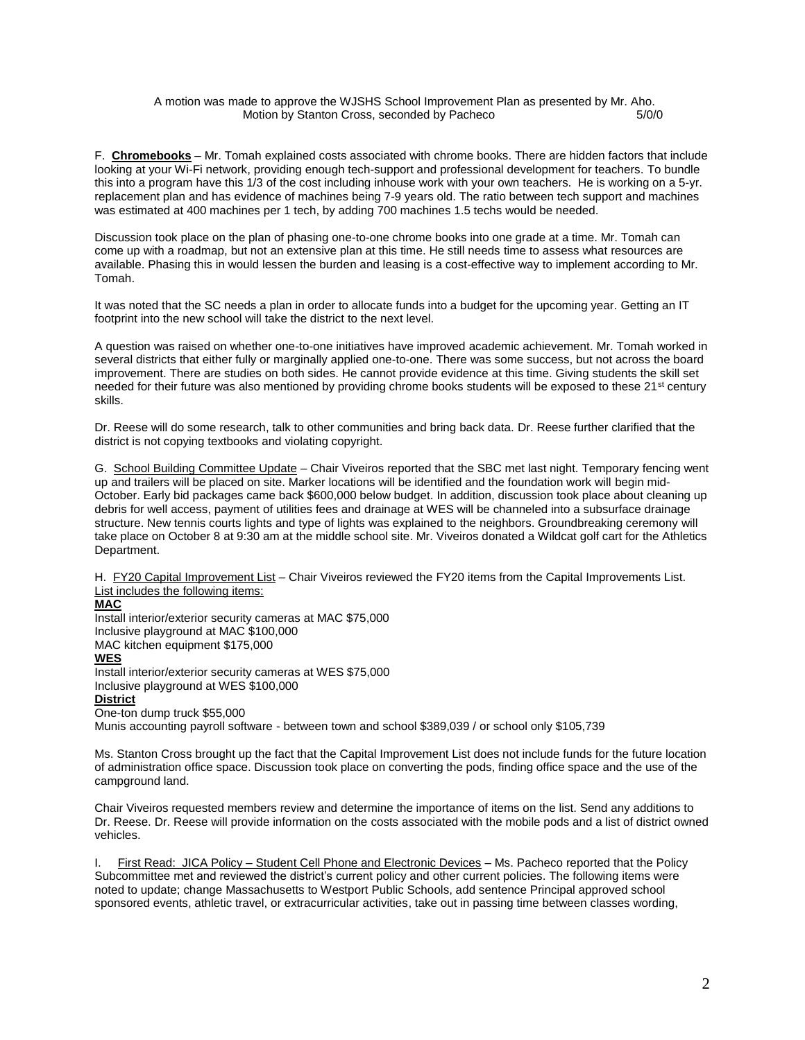#### A motion was made to approve the WJSHS School Improvement Plan as presented by Mr. Aho. Motion by Stanton Cross, seconded by Pacheco 5/0/0

F. **Chromebooks** – Mr. Tomah explained costs associated with chrome books. There are hidden factors that include looking at your Wi-Fi network, providing enough tech-support and professional development for teachers. To bundle this into a program have this 1/3 of the cost including inhouse work with your own teachers. He is working on a 5-yr. replacement plan and has evidence of machines being 7-9 years old. The ratio between tech support and machines was estimated at 400 machines per 1 tech, by adding 700 machines 1.5 techs would be needed.

Discussion took place on the plan of phasing one-to-one chrome books into one grade at a time. Mr. Tomah can come up with a roadmap, but not an extensive plan at this time. He still needs time to assess what resources are available. Phasing this in would lessen the burden and leasing is a cost-effective way to implement according to Mr. Tomah.

It was noted that the SC needs a plan in order to allocate funds into a budget for the upcoming year. Getting an IT footprint into the new school will take the district to the next level.

A question was raised on whether one-to-one initiatives have improved academic achievement. Mr. Tomah worked in several districts that either fully or marginally applied one-to-one. There was some success, but not across the board improvement. There are studies on both sides. He cannot provide evidence at this time. Giving students the skill set needed for their future was also mentioned by providing chrome books students will be exposed to these 21<sup>st</sup> century skills.

Dr. Reese will do some research, talk to other communities and bring back data. Dr. Reese further clarified that the district is not copying textbooks and violating copyright.

G. School Building Committee Update – Chair Viveiros reported that the SBC met last night. Temporary fencing went up and trailers will be placed on site. Marker locations will be identified and the foundation work will begin mid-October. Early bid packages came back \$600,000 below budget. In addition, discussion took place about cleaning up debris for well access, payment of utilities fees and drainage at WES will be channeled into a subsurface drainage structure. New tennis courts lights and type of lights was explained to the neighbors. Groundbreaking ceremony will take place on October 8 at 9:30 am at the middle school site. Mr. Viveiros donated a Wildcat golf cart for the Athletics Department.

H. FY20 Capital Improvement List – Chair Viveiros reviewed the FY20 items from the Capital Improvements List. List includes the following items:

## **MAC**

Install interior/exterior security cameras at MAC \$75,000 Inclusive playground at MAC \$100,000 MAC kitchen equipment \$175,000 **WES** Install interior/exterior security cameras at WES \$75,000 Inclusive playground at WES \$100,000 **District** One-ton dump truck \$55,000 Munis accounting payroll software - between town and school \$389,039 / or school only \$105,739

Ms. Stanton Cross brought up the fact that the Capital Improvement List does not include funds for the future location of administration office space. Discussion took place on converting the pods, finding office space and the use of the campground land.

Chair Viveiros requested members review and determine the importance of items on the list. Send any additions to Dr. Reese. Dr. Reese will provide information on the costs associated with the mobile pods and a list of district owned vehicles.

First Read: JICA Policy – Student Cell Phone and Electronic Devices – Ms. Pacheco reported that the Policy Subcommittee met and reviewed the district's current policy and other current policies. The following items were noted to update; change Massachusetts to Westport Public Schools, add sentence Principal approved school sponsored events, athletic travel, or extracurricular activities, take out in passing time between classes wording,